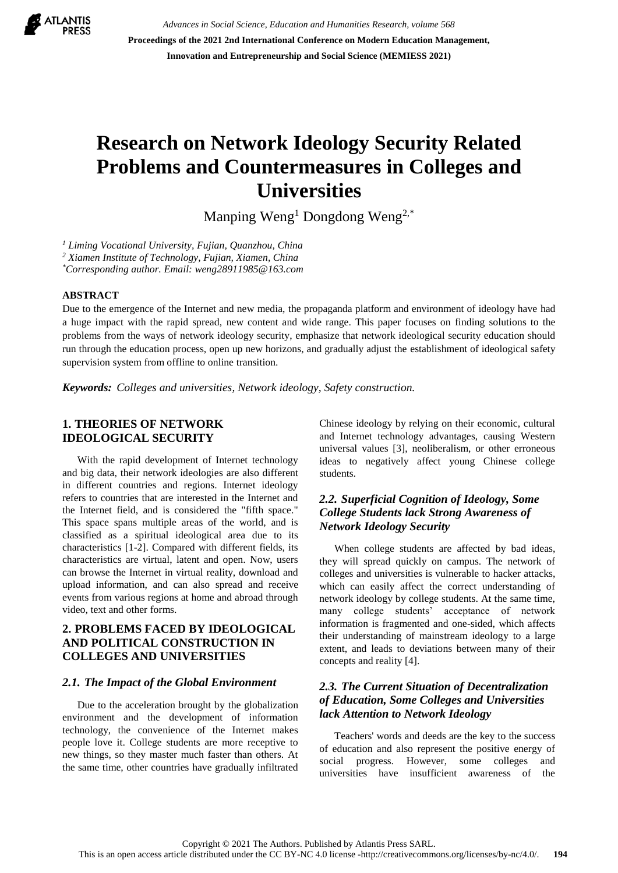

*Advances in Social Science, Education and Humanities Research, volume 568* **Proceedings of the 2021 2nd International Conference on Modern Education Management, Innovation and Entrepreneurship and Social Science (MEMIESS 2021)**

# **Research on Network Ideology Security Related Problems and Countermeasures in Colleges and Universities**

Manping Weng<sup>1</sup> Dongdong Weng<sup>2,\*</sup>

*<sup>1</sup> Liming Vocational University, Fujian, Quanzhou, China*

*<sup>2</sup> Xiamen Institute of Technology, Fujian, Xiamen, China*

*\*Corresponding author. Email: weng28911985@163.com* 

#### **ABSTRACT**

Due to the emergence of the Internet and new media, the propaganda platform and environment of ideology have had a huge impact with the rapid spread, new content and wide range. This paper focuses on finding solutions to the problems from the ways of network ideology security, emphasize that network ideological security education should run through the education process, open up new horizons, and gradually adjust the establishment of ideological safety supervision system from offline to online transition.

*Keywords: Colleges and universities, Network ideology, Safety construction.*

## **1. THEORIES OF NETWORK IDEOLOGICAL SECURITY**

With the rapid development of Internet technology and big data, their network ideologies are also different in different countries and regions. Internet ideology refers to countries that are interested in the Internet and the Internet field, and is considered the "fifth space." This space spans multiple areas of the world, and is classified as a spiritual ideological area due to its characteristics [1-2]. Compared with different fields, its characteristics are virtual, latent and open. Now, users can browse the Internet in virtual reality, download and upload information, and can also spread and receive events from various regions at home and abroad through video, text and other forms.

# **2. PROBLEMS FACED BY IDEOLOGICAL AND POLITICAL CONSTRUCTION IN COLLEGES AND UNIVERSITIES**

#### *2.1. The Impact of the Global Environment*

Due to the acceleration brought by the globalization environment and the development of information technology, the convenience of the Internet makes people love it. College students are more receptive to new things, so they master much faster than others. At the same time, other countries have gradually infiltrated Chinese ideology by relying on their economic, cultural and Internet technology advantages, causing Western universal values [3], neoliberalism, or other erroneous ideas to negatively affect young Chinese college students.

# *2.2. Superficial Cognition of Ideology, Some College Students lack Strong Awareness of Network Ideology Security*

When college students are affected by bad ideas, they will spread quickly on campus. The network of colleges and universities is vulnerable to hacker attacks, which can easily affect the correct understanding of network ideology by college students. At the same time, many college students' acceptance of network information is fragmented and one-sided, which affects their understanding of mainstream ideology to a large extent, and leads to deviations between many of their concepts and reality [4].

## *2.3. The Current Situation of Decentralization of Education, Some Colleges and Universities lack Attention to Network Ideology*

Teachers' words and deeds are the key to the success of education and also represent the positive energy of social progress. However, some colleges and universities have insufficient awareness of the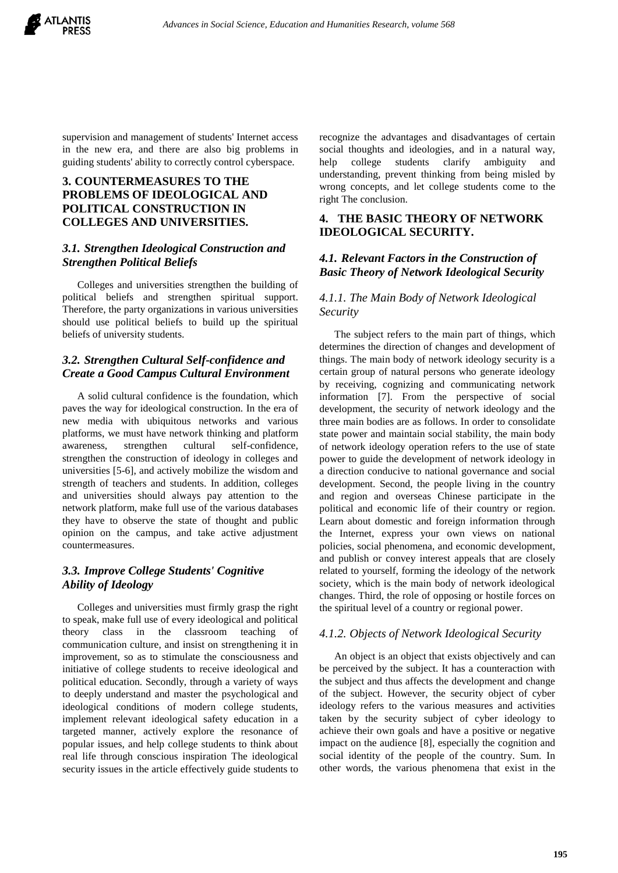

supervision and management of students' Internet access in the new era, and there are also big problems in guiding students' ability to correctly control cyberspace.

# **3. COUNTERMEASURES TO THE PROBLEMS OF IDEOLOGICAL AND POLITICAL CONSTRUCTION IN COLLEGES AND UNIVERSITIES.**

#### *3.1. Strengthen Ideological Construction and Strengthen Political Beliefs*

Colleges and universities strengthen the building of political beliefs and strengthen spiritual support. Therefore, the party organizations in various universities should use political beliefs to build up the spiritual beliefs of university students.

# *3.2. Strengthen Cultural Self-confidence and Create a Good Campus Cultural Environment*

A solid cultural confidence is the foundation, which paves the way for ideological construction. In the era of new media with ubiquitous networks and various platforms, we must have network thinking and platform awareness, strengthen cultural self-confidence, strengthen the construction of ideology in colleges and universities [5-6], and actively mobilize the wisdom and strength of teachers and students. In addition, colleges and universities should always pay attention to the network platform, make full use of the various databases they have to observe the state of thought and public opinion on the campus, and take active adjustment countermeasures.

## *3.3. Improve College Students' Cognitive Ability of Ideology*

Colleges and universities must firmly grasp the right to speak, make full use of every ideological and political theory class in the classroom teaching of communication culture, and insist on strengthening it in improvement, so as to stimulate the consciousness and initiative of college students to receive ideological and political education. Secondly, through a variety of ways to deeply understand and master the psychological and ideological conditions of modern college students, implement relevant ideological safety education in a targeted manner, actively explore the resonance of popular issues, and help college students to think about real life through conscious inspiration The ideological security issues in the article effectively guide students to

recognize the advantages and disadvantages of certain social thoughts and ideologies, and in a natural way, help college students clarify ambiguity and understanding, prevent thinking from being misled by wrong concepts, and let college students come to the right The conclusion.

#### **4. THE BASIC THEORY OF NETWORK IDEOLOGICAL SECURITY.**

# *4.1. Relevant Factors in the Construction of Basic Theory of Network Ideological Security*

#### *4.1.1. The Main Body of Network Ideological Security*

The subject refers to the main part of things, which determines the direction of changes and development of things. The main body of network ideology security is a certain group of natural persons who generate ideology by receiving, cognizing and communicating network information [7]. From the perspective of social development, the security of network ideology and the three main bodies are as follows. In order to consolidate state power and maintain social stability, the main body of network ideology operation refers to the use of state power to guide the development of network ideology in a direction conducive to national governance and social development. Second, the people living in the country and region and overseas Chinese participate in the political and economic life of their country or region. Learn about domestic and foreign information through the Internet, express your own views on national policies, social phenomena, and economic development, and publish or convey interest appeals that are closely related to yourself, forming the ideology of the network society, which is the main body of network ideological changes. Third, the role of opposing or hostile forces on the spiritual level of a country or regional power.

#### *4.1.2. Objects of Network Ideological Security*

An object is an object that exists objectively and can be perceived by the subject. It has a counteraction with the subject and thus affects the development and change of the subject. However, the security object of cyber ideology refers to the various measures and activities taken by the security subject of cyber ideology to achieve their own goals and have a positive or negative impact on the audience [8], especially the cognition and social identity of the people of the country. Sum. In other words, the various phenomena that exist in the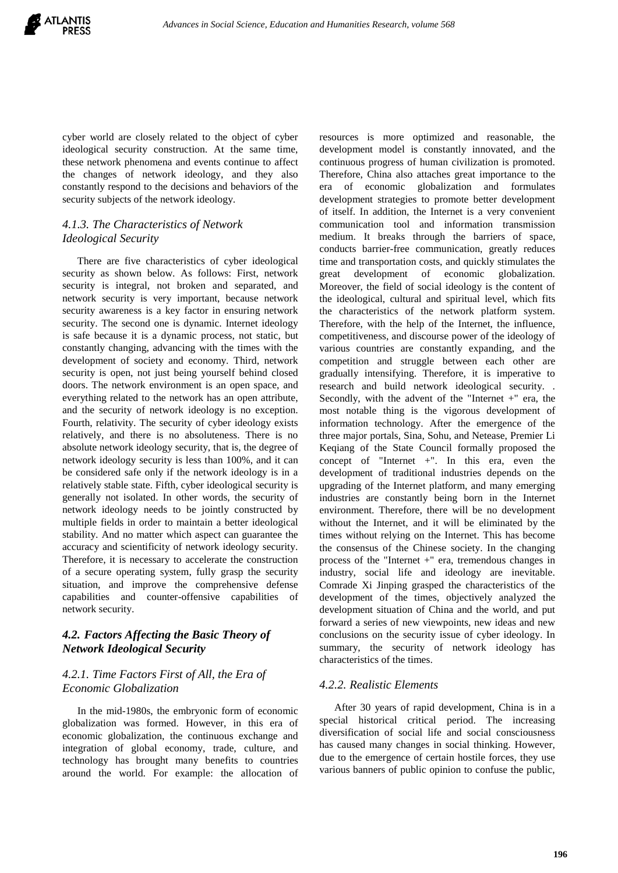cyber world are closely related to the object of cyber ideological security construction. At the same time, these network phenomena and events continue to affect the changes of network ideology, and they also constantly respond to the decisions and behaviors of the security subjects of the network ideology.

## *4.1.3. The Characteristics of Network Ideological Security*

There are five characteristics of cyber ideological security as shown below. As follows: First, network security is integral, not broken and separated, and network security is very important, because network security awareness is a key factor in ensuring network security. The second one is dynamic. Internet ideology is safe because it is a dynamic process, not static, but constantly changing, advancing with the times with the development of society and economy. Third, network security is open, not just being yourself behind closed doors. The network environment is an open space, and everything related to the network has an open attribute, and the security of network ideology is no exception. Fourth, relativity. The security of cyber ideology exists relatively, and there is no absoluteness. There is no absolute network ideology security, that is, the degree of network ideology security is less than 100%, and it can be considered safe only if the network ideology is in a relatively stable state. Fifth, cyber ideological security is generally not isolated. In other words, the security of network ideology needs to be jointly constructed by multiple fields in order to maintain a better ideological stability. And no matter which aspect can guarantee the accuracy and scientificity of network ideology security. Therefore, it is necessary to accelerate the construction of a secure operating system, fully grasp the security situation, and improve the comprehensive defense capabilities and counter-offensive capabilities of network security.

# *4.2. Factors Affecting the Basic Theory of Network Ideological Security*

#### *4.2.1. Time Factors First of All, the Era of Economic Globalization*

In the mid-1980s, the embryonic form of economic globalization was formed. However, in this era of economic globalization, the continuous exchange and integration of global economy, trade, culture, and technology has brought many benefits to countries around the world. For example: the allocation of resources is more optimized and reasonable, the development model is constantly innovated, and the continuous progress of human civilization is promoted. Therefore, China also attaches great importance to the era of economic globalization and formulates development strategies to promote better development of itself. In addition, the Internet is a very convenient communication tool and information transmission medium. It breaks through the barriers of space, conducts barrier-free communication, greatly reduces time and transportation costs, and quickly stimulates the great development of economic globalization. Moreover, the field of social ideology is the content of the ideological, cultural and spiritual level, which fits the characteristics of the network platform system. Therefore, with the help of the Internet, the influence, competitiveness, and discourse power of the ideology of various countries are constantly expanding, and the competition and struggle between each other are gradually intensifying. Therefore, it is imperative to research and build network ideological security. . Secondly, with the advent of the "Internet  $+$ " era, the most notable thing is the vigorous development of information technology. After the emergence of the three major portals, Sina, Sohu, and Netease, Premier Li Keqiang of the State Council formally proposed the concept of "Internet +". In this era, even the development of traditional industries depends on the upgrading of the Internet platform, and many emerging industries are constantly being born in the Internet environment. Therefore, there will be no development without the Internet, and it will be eliminated by the times without relying on the Internet. This has become the consensus of the Chinese society. In the changing process of the "Internet +" era, tremendous changes in industry, social life and ideology are inevitable. Comrade Xi Jinping grasped the characteristics of the development of the times, objectively analyzed the development situation of China and the world, and put forward a series of new viewpoints, new ideas and new conclusions on the security issue of cyber ideology. In summary, the security of network ideology has characteristics of the times.

#### *4.2.2. Realistic Elements*

After 30 years of rapid development, China is in a special historical critical period. The increasing diversification of social life and social consciousness has caused many changes in social thinking. However, due to the emergence of certain hostile forces, they use various banners of public opinion to confuse the public,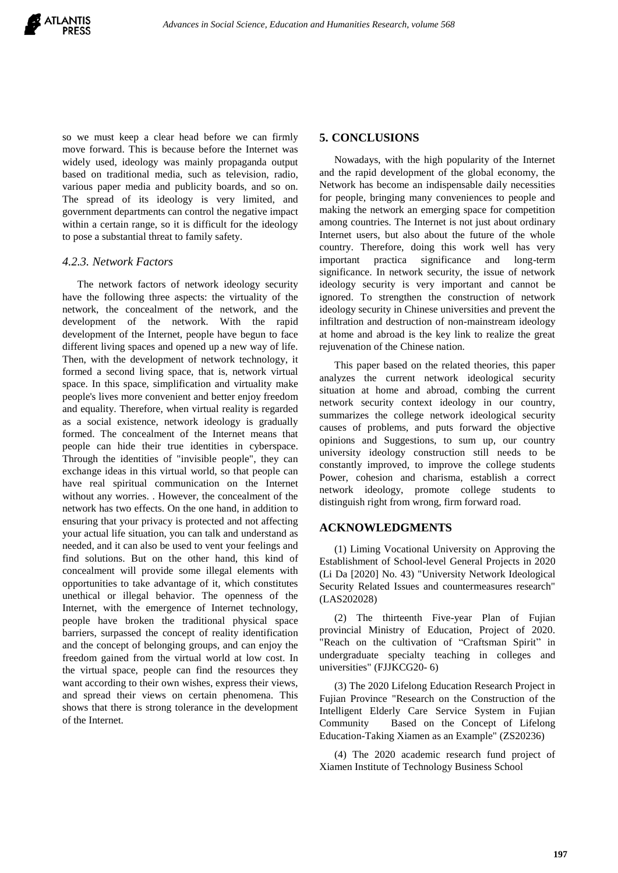so we must keep a clear head before we can firmly move forward. This is because before the Internet was widely used, ideology was mainly propaganda output based on traditional media, such as television, radio, various paper media and publicity boards, and so on. The spread of its ideology is very limited, and government departments can control the negative impact within a certain range, so it is difficult for the ideology to pose a substantial threat to family safety.

#### *4.2.3. Network Factors*

The network factors of network ideology security have the following three aspects: the virtuality of the network, the concealment of the network, and the development of the network. With the rapid development of the Internet, people have begun to face different living spaces and opened up a new way of life. Then, with the development of network technology, it formed a second living space, that is, network virtual space. In this space, simplification and virtuality make people's lives more convenient and better enjoy freedom and equality. Therefore, when virtual reality is regarded as a social existence, network ideology is gradually formed. The concealment of the Internet means that people can hide their true identities in cyberspace. Through the identities of "invisible people", they can exchange ideas in this virtual world, so that people can have real spiritual communication on the Internet without any worries. . However, the concealment of the network has two effects. On the one hand, in addition to ensuring that your privacy is protected and not affecting your actual life situation, you can talk and understand as needed, and it can also be used to vent your feelings and find solutions. But on the other hand, this kind of concealment will provide some illegal elements with opportunities to take advantage of it, which constitutes unethical or illegal behavior. The openness of the Internet, with the emergence of Internet technology, people have broken the traditional physical space barriers, surpassed the concept of reality identification and the concept of belonging groups, and can enjoy the freedom gained from the virtual world at low cost. In the virtual space, people can find the resources they want according to their own wishes, express their views, and spread their views on certain phenomena. This shows that there is strong tolerance in the development of the Internet.

#### **5. CONCLUSIONS**

Nowadays, with the high popularity of the Internet and the rapid development of the global economy, the Network has become an indispensable daily necessities for people, bringing many conveniences to people and making the network an emerging space for competition among countries. The Internet is not just about ordinary Internet users, but also about the future of the whole country. Therefore, doing this work well has very important practica significance and long-term significance. In network security, the issue of network ideology security is very important and cannot be ignored. To strengthen the construction of network ideology security in Chinese universities and prevent the infiltration and destruction of non-mainstream ideology at home and abroad is the key link to realize the great rejuvenation of the Chinese nation.

This paper based on the related theories, this paper analyzes the current network ideological security situation at home and abroad, combing the current network security context ideology in our country, summarizes the college network ideological security causes of problems, and puts forward the objective opinions and Suggestions, to sum up, our country university ideology construction still needs to be constantly improved, to improve the college students Power, cohesion and charisma, establish a correct network ideology, promote college students to distinguish right from wrong, firm forward road.

## **ACKNOWLEDGMENTS**

(1) Liming Vocational University on Approving the Establishment of School-level General Projects in 2020 (Li Da [2020] No. 43) "University Network Ideological Security Related Issues and countermeasures research" (LAS202028)

(2) The thirteenth Five-year Plan of Fujian provincial Ministry of Education, Project of 2020. "Reach on the cultivation of "Craftsman Spirit" in undergraduate specialty teaching in colleges and universities" (FJJKCG20- 6)

(3) The 2020 Lifelong Education Research Project in Fujian Province "Research on the Construction of the Intelligent Elderly Care Service System in Fujian Community Based on the Concept of Lifelong Education-Taking Xiamen as an Example" (ZS20236)

(4) The 2020 academic research fund project of Xiamen Institute of Technology Business School